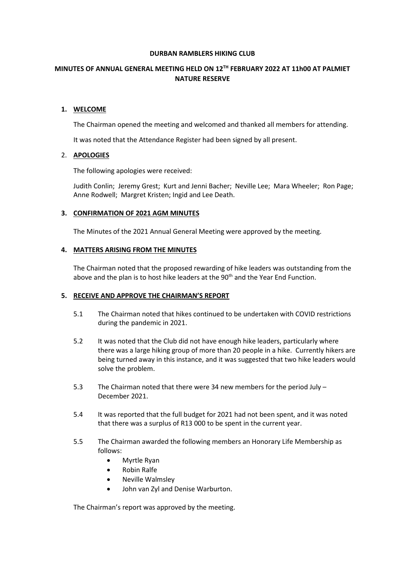#### **DURBAN RAMBLERS HIKING CLUB**

# **MINUTES OF ANNUAL GENERAL MEETING HELD ON 12TH FEBRUARY 2022 AT 11h00 AT PALMIET NATURE RESERVE**

# **1. WELCOME**

The Chairman opened the meeting and welcomed and thanked all members for attending.

It was noted that the Attendance Register had been signed by all present.

# 2. **APOLOGIES**

The following apologies were received:

Judith Conlin; Jeremy Grest; Kurt and Jenni Bacher; Neville Lee; Mara Wheeler; Ron Page; Anne Rodwell; Margret Kristen; Ingid and Lee Death.

# **3. CONFIRMATION OF 2021 AGM MINUTES**

The Minutes of the 2021 Annual General Meeting were approved by the meeting.

# **4. MATTERS ARISING FROM THE MINUTES**

The Chairman noted that the proposed rewarding of hike leaders was outstanding from the above and the plan is to host hike leaders at the 90<sup>th</sup> and the Year End Function.

# **5. RECEIVE AND APPROVE THE CHAIRMAN'S REPORT**

- 5.1 The Chairman noted that hikes continued to be undertaken with COVID restrictions during the pandemic in 2021.
- 5.2 It was noted that the Club did not have enough hike leaders, particularly where there was a large hiking group of more than 20 people in a hike. Currently hikers are being turned away in this instance, and it was suggested that two hike leaders would solve the problem.
- 5.3 The Chairman noted that there were 34 new members for the period July December 2021.
- 5.4 It was reported that the full budget for 2021 had not been spent, and it was noted that there was a surplus of R13 000 to be spent in the current year.
- 5.5 The Chairman awarded the following members an Honorary Life Membership as follows:
	- Myrtle Ryan
	- Robin Ralfe
	- Neville Walmsley
	- John van Zyl and Denise Warburton.

The Chairman's report was approved by the meeting.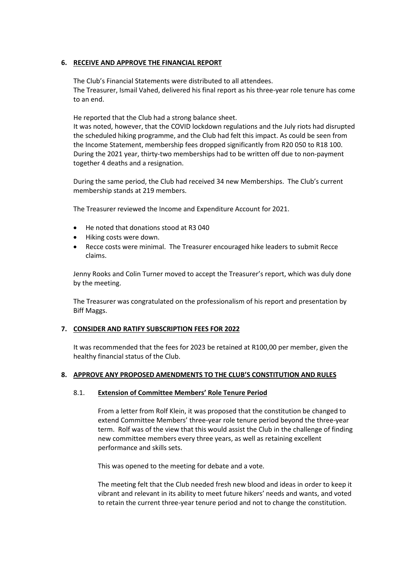# **6. RECEIVE AND APPROVE THE FINANCIAL REPORT**

The Club's Financial Statements were distributed to all attendees. The Treasurer, Ismail Vahed, delivered his final report as his three-year role tenure has come to an end.

He reported that the Club had a strong balance sheet. It was noted, however, that the COVID lockdown regulations and the July riots had disrupted the scheduled hiking programme, and the Club had felt this impact. As could be seen from the Income Statement, membership fees dropped significantly from R20 050 to R18 100. During the 2021 year, thirty-two memberships had to be written off due to non-payment together 4 deaths and a resignation.

During the same period, the Club had received 34 new Memberships. The Club's current membership stands at 219 members.

The Treasurer reviewed the Income and Expenditure Account for 2021.

- He noted that donations stood at R3 040
- Hiking costs were down.
- Recce costs were minimal. The Treasurer encouraged hike leaders to submit Recce claims.

Jenny Rooks and Colin Turner moved to accept the Treasurer's report, which was duly done by the meeting.

The Treasurer was congratulated on the professionalism of his report and presentation by Biff Maggs.

# **7. CONSIDER AND RATIFY SUBSCRIPTION FEES FOR 2022**

It was recommended that the fees for 2023 be retained at R100,00 per member, given the healthy financial status of the Club.

# **8. APPROVE ANY PROPOSED AMENDMENTS TO THE CLUB'S CONSTITUTION AND RULES**

# 8.1. **Extension of Committee Members' Role Tenure Period**

From a letter from Rolf Klein, it was proposed that the constitution be changed to extend Committee Members' three-year role tenure period beyond the three-year term. Rolf was of the view that this would assist the Club in the challenge of finding new committee members every three years, as well as retaining excellent performance and skills sets.

This was opened to the meeting for debate and a vote.

The meeting felt that the Club needed fresh new blood and ideas in order to keep it vibrant and relevant in its ability to meet future hikers' needs and wants, and voted to retain the current three-year tenure period and not to change the constitution.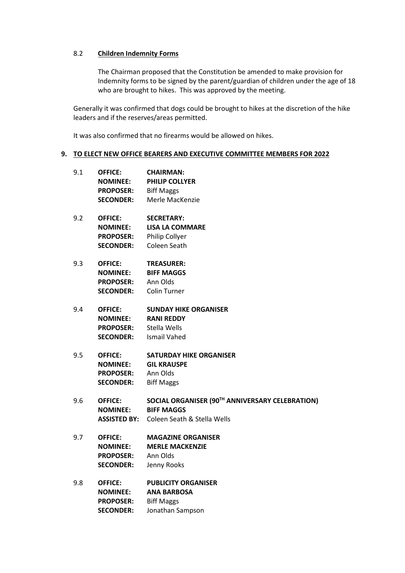# 8.2 **Children Indemnity Forms**

The Chairman proposed that the Constitution be amended to make provision for Indemnity forms to be signed by the parent/guardian of children under the age of 18 who are brought to hikes. This was approved by the meeting.

Generally it was confirmed that dogs could be brought to hikes at the discretion of the hike leaders and if the reserves/areas permitted.

It was also confirmed that no firearms would be allowed on hikes.

#### **9. TO ELECT NEW OFFICE BEARERS AND EXECUTIVE COMMITTEE MEMBERS FOR 2022**

- 9.1 **OFFICE: CHAIRMAN: NOMINEE: PHILIP COLLYER PROPOSER:** Biff Maggs **SECONDER:** Merle MacKenzie
- 9.2 **OFFICE: SECRETARY: NOMINEE: LISA LA COMMARE PROPOSER:** Philip Collyer **SECONDER:** Coleen Seath
- 9.3 **OFFICE: TREASURER: NOMINEE: BIFF MAGGS PROPOSER:** Ann Olds **SECONDER:** Colin Turner
- 9.4 **OFFICE: SUNDAY HIKE ORGANISER NOMINEE: RANI REDDY PROPOSER:** Stella Wells **SECONDER:** Ismail Vahed
- 9.5 **OFFICE: SATURDAY HIKE ORGANISER NOMINEE: GIL KRAUSPE PROPOSER:** Ann Olds **SECONDER:** Biff Maggs
- 9.6 **OFFICE: SOCIAL ORGANISER (90TH ANNIVERSARY CELEBRATION) NOMINEE: BIFF MAGGS ASSISTED BY:** Coleen Seath & Stella Wells
- 9.7 **OFFICE: MAGAZINE ORGANISER NOMINEE: MERLE MACKENZIE PROPOSER:** Ann Olds **SECONDER:** Jenny Rooks

# 9.8 **OFFICE: PUBLICITY ORGANISER NOMINEE: ANA BARBOSA PROPOSER:** Biff Maggs **SECONDER:** Jonathan Sampson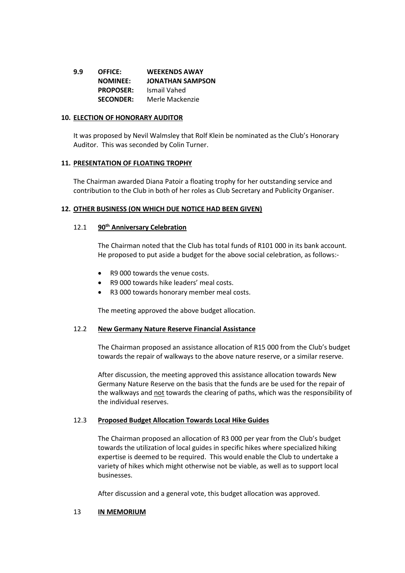**9.9 OFFICE: WEEKENDS AWAY NOMINEE: JONATHAN SAMPSON PROPOSER:** Ismail Vahed **SECONDER:** Merle Mackenzie

#### **10. ELECTION OF HONORARY AUDITOR**

It was proposed by Nevil Walmsley that Rolf Klein be nominated as the Club's Honorary Auditor. This was seconded by Colin Turner.

#### **11. PRESENTATION OF FLOATING TROPHY**

The Chairman awarded Diana Patoir a floating trophy for her outstanding service and contribution to the Club in both of her roles as Club Secretary and Publicity Organiser.

# **12. OTHER BUSINESS (ON WHICH DUE NOTICE HAD BEEN GIVEN)**

#### 12.1 **90th Anniversary Celebration**

The Chairman noted that the Club has total funds of R101 000 in its bank account. He proposed to put aside a budget for the above social celebration, as follows:-

- R9 000 towards the venue costs.
- R9 000 towards hike leaders' meal costs.
- R3 000 towards honorary member meal costs.

The meeting approved the above budget allocation.

#### 12.2 **New Germany Nature Reserve Financial Assistance**

The Chairman proposed an assistance allocation of R15 000 from the Club's budget towards the repair of walkways to the above nature reserve, or a similar reserve.

After discussion, the meeting approved this assistance allocation towards New Germany Nature Reserve on the basis that the funds are be used for the repair of the walkways and not towards the clearing of paths, which was the responsibility of the individual reserves.

# 12.3 **Proposed Budget Allocation Towards Local Hike Guides**

The Chairman proposed an allocation of R3 000 per year from the Club's budget towards the utilization of local guides in specific hikes where specialized hiking expertise is deemed to be required. This would enable the Club to undertake a variety of hikes which might otherwise not be viable, as well as to support local businesses.

After discussion and a general vote, this budget allocation was approved.

#### 13 **IN MEMORIUM**